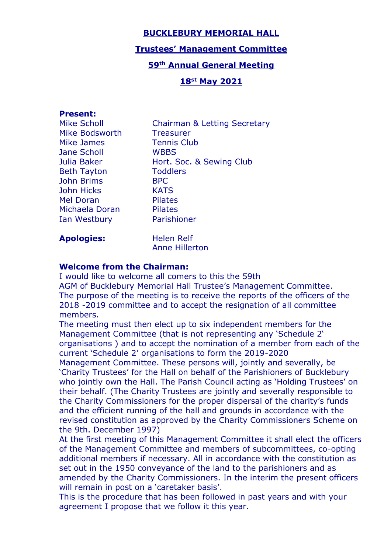## **BUCKLEBURY MEMORIAL HALL**

### **Trustees' Management Committee**

## **59th Annual General Meeting**

## **18st May 2021**

### **Present:**

| Mike Scholl         |  |  |
|---------------------|--|--|
| Mike Bodsworth      |  |  |
| Mike James          |  |  |
| Jane Scholl         |  |  |
| Julia Baker         |  |  |
| <b>Beth Tayton</b>  |  |  |
| <b>John Brims</b>   |  |  |
| <b>John Hicks</b>   |  |  |
| Mel Doran           |  |  |
| Michaela Doran      |  |  |
| <b>Ian Westbury</b> |  |  |
|                     |  |  |

Chairman & Letting Secretary **Treasurer** Tennis Club WBBS Hort. Soc. & Sewing Club **Toddlers BPC** KATS Pilates Pilates Parishioner

Apologies: Helen Relf

Anne Hillerton

### **Welcome from the Chairman:**

I would like to welcome all comers to this the 59th AGM of Bucklebury Memorial Hall Trustee's Management Committee. The purpose of the meeting is to receive the reports of the officers of the 2018 -2019 committee and to accept the resignation of all committee members.

The meeting must then elect up to six independent members for the Management Committee (that is not representing any 'Schedule 2' organisations ) and to accept the nomination of a member from each of the current 'Schedule 2' organisations to form the 2019-2020

Management Committee. These persons will, jointly and severally, be 'Charity Trustees' for the Hall on behalf of the Parishioners of Bucklebury who jointly own the Hall. The Parish Council acting as 'Holding Trustees' on their behalf. (The Charity Trustees are jointly and severally responsible to the Charity Commissioners for the proper dispersal of the charity's funds and the efficient running of the hall and grounds in accordance with the revised constitution as approved by the Charity Commissioners Scheme on the 9th. December 1997)

At the first meeting of this Management Committee it shall elect the officers of the Management Committee and members of subcommittees, co-opting additional members if necessary. All in accordance with the constitution as set out in the 1950 conveyance of the land to the parishioners and as amended by the Charity Commissioners. In the interim the present officers will remain in post on a 'caretaker basis'.

This is the procedure that has been followed in past years and with your agreement I propose that we follow it this year.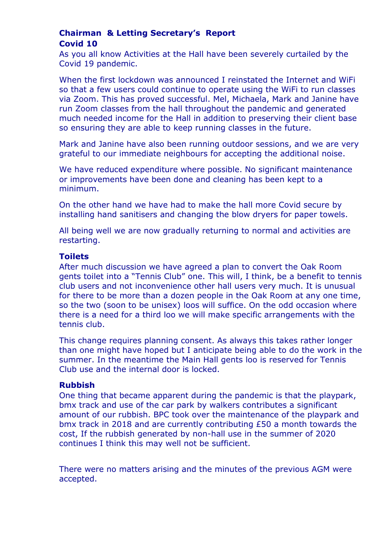# **Chairman & Letting Secretary's Report Covid 10**

As you all know Activities at the Hall have been severely curtailed by the Covid 19 pandemic.

When the first lockdown was announced I reinstated the Internet and WiFi so that a few users could continue to operate using the WiFi to run classes via Zoom. This has proved successful. Mel, Michaela, Mark and Janine have run Zoom classes from the hall throughout the pandemic and generated much needed income for the Hall in addition to preserving their client base so ensuring they are able to keep running classes in the future.

Mark and Janine have also been running outdoor sessions, and we are very grateful to our immediate neighbours for accepting the additional noise.

We have reduced expenditure where possible. No significant maintenance or improvements have been done and cleaning has been kept to a minimum.

On the other hand we have had to make the hall more Covid secure by installing hand sanitisers and changing the blow dryers for paper towels.

All being well we are now gradually returning to normal and activities are restarting.

#### **Toilets**

After much discussion we have agreed a plan to convert the Oak Room gents toilet into a "Tennis Club" one. This will, I think, be a benefit to tennis club users and not inconvenience other hall users very much. It is unusual for there to be more than a dozen people in the Oak Room at any one time, so the two (soon to be unisex) loos will suffice. On the odd occasion where there is a need for a third loo we will make specific arrangements with the tennis club.

This change requires planning consent. As always this takes rather longer than one might have hoped but I anticipate being able to do the work in the summer. In the meantime the Main Hall gents loo is reserved for Tennis Club use and the internal door is locked.

### **Rubbish**

One thing that became apparent during the pandemic is that the playpark, bmx track and use of the car park by walkers contributes a significant amount of our rubbish. BPC took over the maintenance of the playpark and bmx track in 2018 and are currently contributing £50 a month towards the cost, If the rubbish generated by non-hall use in the summer of 2020 continues I think this may well not be sufficient.

There were no matters arising and the minutes of the previous AGM were accepted.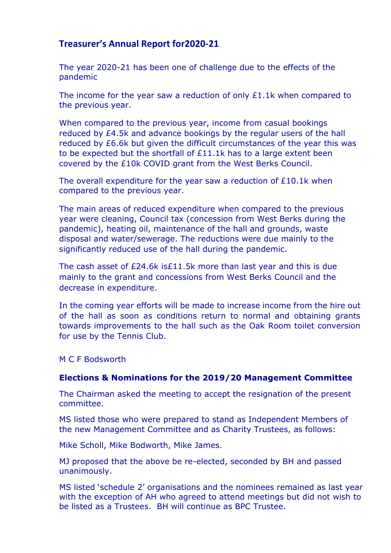# **Treasurer's Annual Report for2020-21**

The year 2020-21 has been one of challenge due to the effects of the pandemic

The income for the year saw a reduction of only £1.1k when compared to the previous year.

When compared to the previous year, income from casual bookings reduced by £4.5k and advance bookings by the regular users of the hall reduced by £6.6k but given the difficult circumstances of the year this was to be expected but the shortfall of £11.1k has to a large extent been covered by the £10k COVID grant from the West Berks Council.

The overall expenditure for the year saw a reduction of £10.1k when compared to the previous year.

The main areas of reduced expenditure when compared to the previous year were cleaning, Council tax (concession from West Berks during the pandemic), heating oil, maintenance of the hall and grounds, waste disposal and water/sewerage. The reductions were due mainly to the significantly reduced use of the hall during the pandemic.

The cash asset of £24.6k is£11.5k more than last year and this is due mainly to the grant and concessions from West Berks Council and the decrease in expenditure.

In the coming year efforts will be made to increase income from the hire out of the hall as soon as conditions return to normal and obtaining grants towards improvements to the hall such as the Oak Room toilet conversion for use by the Tennis Club.

M C F Bodsworth

### **Elections & Nominations for the 2019/20 Management Committee**

The Chairman asked the meeting to accept the resignation of the present committee.

MS listed those who were prepared to stand as Independent Members of the new Management Committee and as Charity Trustees, as follows:

Mike Scholl, Mike Bodworth, Mike James.

MJ proposed that the above be re-elected, seconded by BH and passed unanimously.

MS listed 'schedule 2' organisations and the nominees remained as last year with the exception of AH who agreed to attend meetings but did not wish to be listed as a Trustees. BH will continue as BPC Trustee.